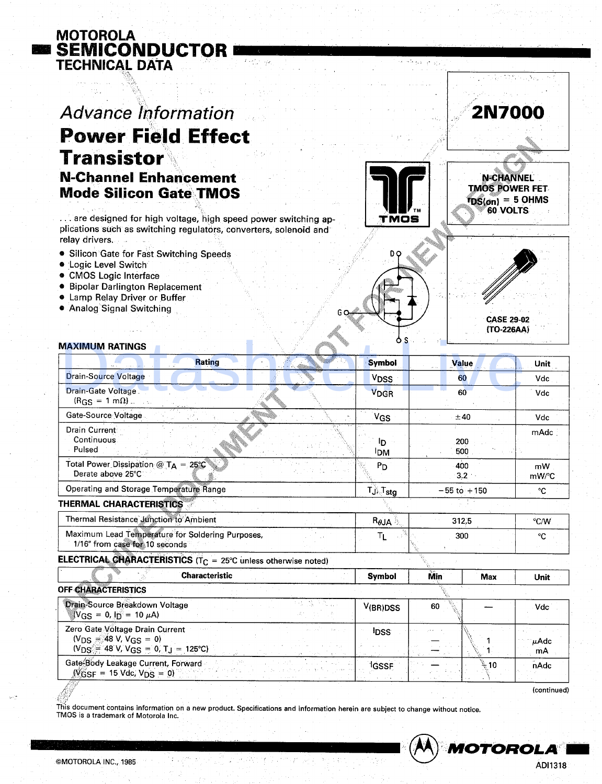## **Advance Information Power Field Effect Transistor N-Channel Enhancement Mode Silicon Gate TMOS**

... are designed for high voltage, high speed power switching applications such as switching regulators, converters, solenoid and relay drivers.

- Silicon Gate for Fast Switching Speeds
- **.** Logic Level Switch

**MOTOROLA** 

**TECHNICAL DATA** 

**E SEMICONDUCTOR** 

- **CMOS Logic Interface**
- **Bipolar Darlington Replacement**
- **.** Lamp Relay Driver or Buffer
- Analog Signal Switching



**N-CHANNEL TMOS POWER FET**  $r_{DS(on)} = 5$  OHMS 60 VOLTS

**2N7000** 



## **MAXIMUM RATINGS**

| <b>Rating</b>                                                                                                  | <b>Symbol</b>                    | Value           |            | <b>Unit</b>   |  |  |  |
|----------------------------------------------------------------------------------------------------------------|----------------------------------|-----------------|------------|---------------|--|--|--|
| <b>Drain-Source Voltage</b>                                                                                    | <b>V<sub>DSS</sub></b>           | 60              |            | Vdc           |  |  |  |
| Drain-Gate Voltage<br>$(RGS = 1 m\Omega)$ .                                                                    | V <sub>DGR</sub>                 | 60              |            | Vdc           |  |  |  |
| Gate-Source Voltage                                                                                            | V <sub>GS</sub>                  | ±40             |            | Vdc           |  |  |  |
| <b>Drain Current</b><br>Continuous<br>Pulsed                                                                   | lD.<br><b>IDM</b>                | 200<br>500      |            | mAdc          |  |  |  |
| Total Power Dissipation $@TA = 25°C$<br>Derate above 25°C                                                      | $P_{D}$                          | 400<br>3.2      |            | mW<br>mW/°C   |  |  |  |
| <b>Operating and Storage Temperature Range</b>                                                                 | TJ <sub>o</sub> T <sub>stg</sub> | $-55$ to $+150$ |            | °C            |  |  |  |
| THERMAL CHARACTERISTICS                                                                                        |                                  |                 |            |               |  |  |  |
| Thermal Resistance Junction to Ambient                                                                         | $R_{\theta}$ JA                  | 312.5           |            | $\degree$ C/W |  |  |  |
| Maximum Lead Temperature for Soldering Purposes,<br>1/16" from case for 10 seconds                             | Τı                               | 300             |            | °C            |  |  |  |
| <b>ELECTRICAL CHARACTERISTICS</b> ( $T_C = 25^{\circ}$ C unless otherwise noted)                               |                                  |                 |            |               |  |  |  |
| <b>Characteristic</b>                                                                                          | <b>Symbol</b>                    | Min             | <b>Max</b> | Unit          |  |  |  |
| <b>OFF CHARACTERISTICS</b>                                                                                     |                                  |                 |            |               |  |  |  |
| (市) 協手先会<br>Drain-Source Breakdown Voltage<br>$V_{GS} = 0$ , $I_D = 10 \mu A$                                  | V(BR)DSS                         | 60              |            | Vdc           |  |  |  |
| Zero Gate Voltage Drain Current<br>$(V_{DS} = 48 V, V_{GS} = 0)$<br>$(V_{DS} = 48 V, V_{GS} = 0, T_J = 125°C)$ | <sup>1</sup> DSS                 |                 |            | μAdc<br>mA    |  |  |  |
| Gate-Body Leakage Current, Forward<br>$WGSF = 15$ Vdc, $VDS = 0$                                               | <sup>1</sup> GSSF                |                 | ົ⊹ 10      | nAdc          |  |  |  |

(continued)

This document contains information on a new product. Specifications and information herein are subject to change without notice. TMOS is a trademark of Motorola Inc.